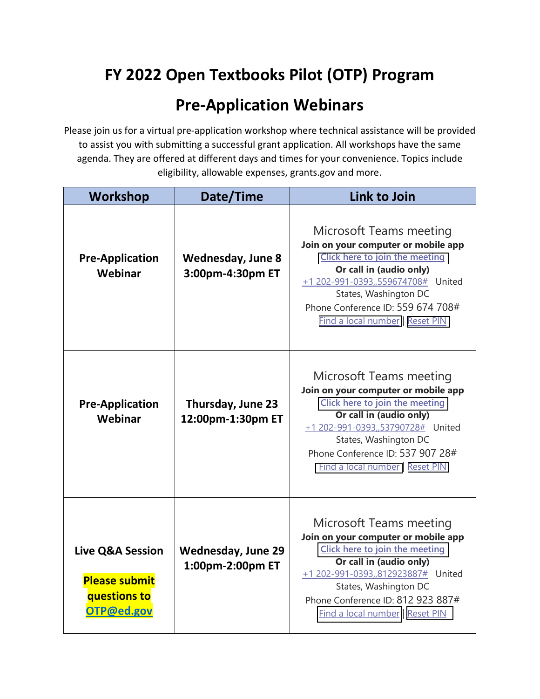## **FY 2022 Open Textbooks Pilot (OTP) Program**

## **Pre-Application Webinars**

Please join us for a virtual pre-application workshop where technical assistance will be provided to assist you with submitting a successful grant application. All workshops have the same agenda. They are offered at different days and times for your convenience. Topics include eligibility, allowable expenses, grants.gov and more.

| Workshop                                                                          | Date/Time                                     | Link to Join                                                                                                                                                                                                                                                              |
|-----------------------------------------------------------------------------------|-----------------------------------------------|---------------------------------------------------------------------------------------------------------------------------------------------------------------------------------------------------------------------------------------------------------------------------|
| <b>Pre-Application</b><br>Webinar                                                 | <b>Wednesday, June 8</b><br>3:00pm-4:30pm ET  | Microsoft Teams meeting<br>Join on your computer or mobile app<br>Click here to join the meeting<br>Or call in (audio only)<br>+1 202-991-0393,,559674708# United<br>States, Washington DC<br>Phone Conference ID: 559 674 708#<br><b>Find a local number   Reset PIN</b> |
| <b>Pre-Application</b><br>Webinar                                                 | Thursday, June 23<br>12:00pm-1:30pm ET        | Microsoft Teams meeting<br>Join on your computer or mobile app<br>Click here to join the meeting<br>Or call in (audio only)<br>+1 202-991-0393,,53790728# United<br>States, Washington DC<br>Phone Conference ID: 537 907 28#<br>Find a local number   Reset PIN          |
| <b>Live Q&amp;A Session</b><br><b>Please submit</b><br>questions to<br>OTP@ed.gov | <b>Wednesday, June 29</b><br>1:00pm-2:00pm ET | Microsoft Teams meeting<br>Join on your computer or mobile app<br>Click here to join the meeting<br>Or call in (audio only)<br>+1 202-991-0393,,812923887# United<br>States, Washington DC<br>Phone Conference ID: 812 923 887#<br>Find a local number   Reset PIN        |